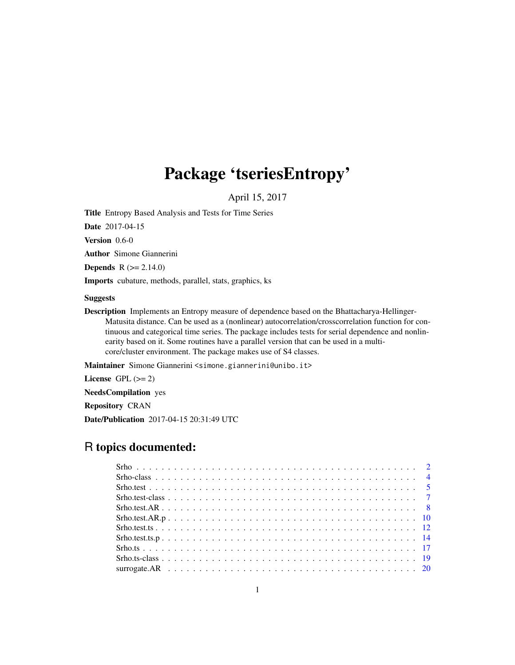# Package 'tseriesEntropy'

April 15, 2017

<span id="page-0-0"></span>Title Entropy Based Analysis and Tests for Time Series

Date 2017-04-15

Version 0.6-0

Author Simone Giannerini

**Depends**  $R$  ( $>= 2.14.0$ )

Imports cubature, methods, parallel, stats, graphics, ks

#### Suggests

Description Implements an Entropy measure of dependence based on the Bhattacharya-Hellinger-Matusita distance. Can be used as a (nonlinear) autocorrelation/crosscorrelation function for continuous and categorical time series. The package includes tests for serial dependence and nonlinearity based on it. Some routines have a parallel version that can be used in a multicore/cluster environment. The package makes use of S4 classes.

Maintainer Simone Giannerini <simone.giannerini@unibo.it>

License GPL  $(>= 2)$ 

NeedsCompilation yes

Repository CRAN

Date/Publication 2017-04-15 20:31:49 UTC

# R topics documented: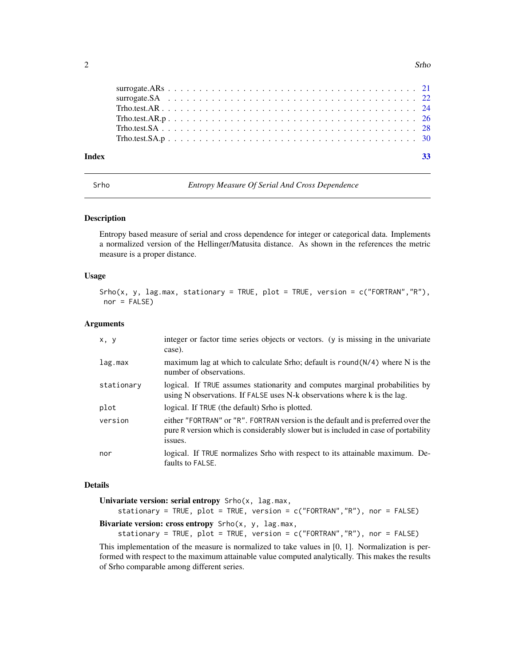<span id="page-1-0"></span>

| Index |  |  |  |  |  |  |  |  |  |  |  |  |  |  |  |  |  |  | -33 |
|-------|--|--|--|--|--|--|--|--|--|--|--|--|--|--|--|--|--|--|-----|
|       |  |  |  |  |  |  |  |  |  |  |  |  |  |  |  |  |  |  |     |
|       |  |  |  |  |  |  |  |  |  |  |  |  |  |  |  |  |  |  |     |
|       |  |  |  |  |  |  |  |  |  |  |  |  |  |  |  |  |  |  |     |
|       |  |  |  |  |  |  |  |  |  |  |  |  |  |  |  |  |  |  |     |
|       |  |  |  |  |  |  |  |  |  |  |  |  |  |  |  |  |  |  |     |
|       |  |  |  |  |  |  |  |  |  |  |  |  |  |  |  |  |  |  |     |

<span id="page-1-1"></span>Srho *Entropy Measure Of Serial And Cross Dependence*

# Description

Entropy based measure of serial and cross dependence for integer or categorical data. Implements a normalized version of the Hellinger/Matusita distance. As shown in the references the metric measure is a proper distance.

# Usage

```
Srho(x, y, lag.max, stationary = TRUE, plot = TRUE, version = c("FORTRAN", "R"),
nor = FALSE)
```
# Arguments

| x, y       | integer or factor time series objects or vectors. (y is missing in the univariate<br>case).                                                                                        |
|------------|------------------------------------------------------------------------------------------------------------------------------------------------------------------------------------|
| lag.max    | maximum lag at which to calculate Srho; default is round $(N/4)$ where N is the<br>number of observations.                                                                         |
| stationary | logical. If TRUE assumes stationarity and computes marginal probabilities by<br>using N observations. If FALSE uses N-k observations where k is the lag.                           |
| plot       | logical. If TRUE (the default) Srho is plotted.                                                                                                                                    |
| version    | either "FORTRAN" or "R". FORTRAN version is the default and is preferred over the<br>pure R version which is considerably slower but is included in case of portability<br>issues. |
| nor        | logical. If TRUE normalizes Srho with respect to its attainable maximum. De-<br>faults to FALSE.                                                                                   |

# Details

| Univariate version: serial entropy Srho(x, lag.max,                          |  |  |
|------------------------------------------------------------------------------|--|--|
| stationary = TRUE, plot = TRUE, version = $c("FORTRAN", "R")$ , nor = FALSE) |  |  |
| Bivariate version: cross entropy $\text{Srho}(x, y, \text{lag.max})$         |  |  |
|                                                                              |  |  |

stationary = TRUE, plot = TRUE, version = c("FORTRAN","R"), nor = FALSE)

This implementation of the measure is normalized to take values in [0, 1]. Normalization is performed with respect to the maximum attainable value computed analytically. This makes the results of Srho comparable among different series.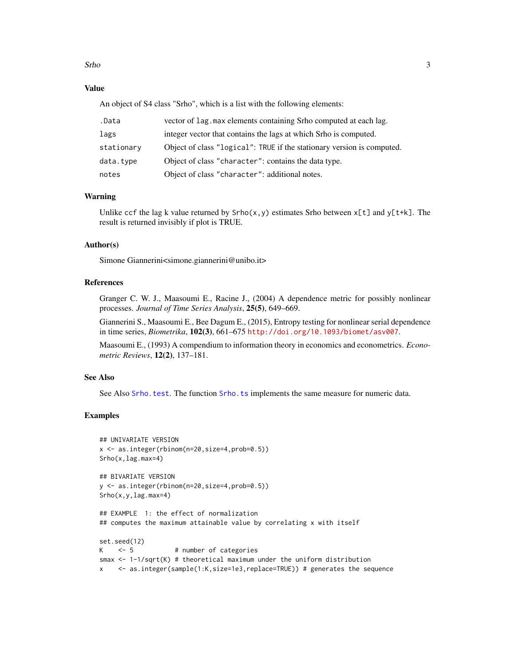<span id="page-2-0"></span>Srho 3

# Value

An object of S4 class "Srho", which is a list with the following elements:

| .Data      | vector of lag. max elements containing Srho computed at each lag.      |
|------------|------------------------------------------------------------------------|
| lags       | integer vector that contains the lags at which Srho is computed.       |
| stationary | Object of class "logical": TRUE if the stationary version is computed. |
| data.type  | Object of class "character": contains the data type.                   |
| notes      | Object of class "character": additional notes.                         |

# Warning

Unlike ccf the lag k value returned by  $\text{Srho}(x, y)$  estimates Srho between  $x[t]$  and  $y[t+k]$ . The result is returned invisibly if plot is TRUE.

# Author(s)

Simone Giannerini<simone.giannerini@unibo.it>

# References

Granger C. W. J., Maasoumi E., Racine J., (2004) A dependence metric for possibly nonlinear processes. *Journal of Time Series Analysis*, 25(5), 649–669.

Giannerini S., Maasoumi E., Bee Dagum E., (2015), Entropy testing for nonlinear serial dependence in time series, *Biometrika*, 102(3), 661–675 <http://doi.org/10.1093/biomet/asv007>.

Maasoumi E., (1993) A compendium to information theory in economics and econometrics. *Econometric Reviews*, 12(2), 137–181.

#### See Also

See Also [Srho.test](#page-4-1). The function [Srho.ts](#page-16-1) implements the same measure for numeric data.

# Examples

```
## UNIVARIATE VERSION
x <- as.integer(rbinom(n=20,size=4,prob=0.5))
Srho(x,lag.max=4)
## BIVARIATE VERSION
y <- as.integer(rbinom(n=20,size=4,prob=0.5))
Srho(x,y,lag.max=4)
## EXAMPLE 1: the effect of normalization
## computes the maximum attainable value by correlating x with itself
set.seed(12)
K <- 5 # number of categories
smax <- 1-1/sqrt(K) # theoretical maximum under the uniform distribution
```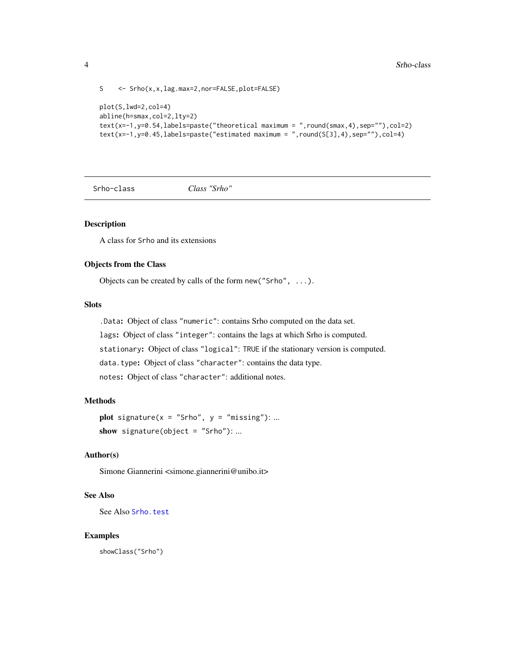```
S <- Srho(x,x,lag.max=2,nor=FALSE,plot=FALSE)
```

```
plot(S,lwd=2,col=4)
abline(h=smax,col=2,lty=2)
text(x=-1,y=0.54,labels=paste("theoretical maximum = ",round(smax,4),sep=""),col=2)
text(x=-1,y=0.45,labels=paste("estimated maximum = ",round(S[3],4),sep=""),col=4)
```
<span id="page-3-1"></span>Srho-class *Class "Srho"*

#### Description

A class for Srho and its extensions

# Objects from the Class

Objects can be created by calls of the form new("Srho", ...).

# **Slots**

.Data: Object of class "numeric": contains Srho computed on the data set.

lags: Object of class "integer": contains the lags at which Srho is computed.

stationary: Object of class "logical": TRUE if the stationary version is computed.

data.type: Object of class "character": contains the data type.

notes: Object of class "character": additional notes.

# Methods

```
plot signature(x = "Srho", y = "missing":...show signature(object = "Srho"): ...
```
# Author(s)

Simone Giannerini <simone.giannerini@unibo.it>

# See Also

See Also [Srho.test](#page-6-1)

# Examples

showClass("Srho")

<span id="page-3-0"></span>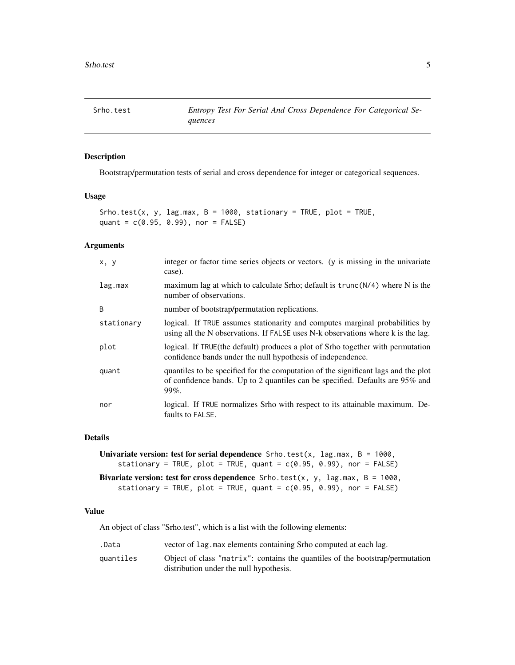<span id="page-4-1"></span><span id="page-4-0"></span>

# Description

Bootstrap/permutation tests of serial and cross dependence for integer or categorical sequences.

#### Usage

```
Srho.test(x, y, lag.max, B = 1000, stationary = TRUE, plot = TRUE,
quant = c(0.95, 0.99), nor = FALSE)
```
#### Arguments

| x, y         | integer or factor time series objects or vectors. (y is missing in the univariate<br>case).                                                                                     |
|--------------|---------------------------------------------------------------------------------------------------------------------------------------------------------------------------------|
| lag.max      | maximum lag at which to calculate Srho; default is $trunc(N/4)$ where N is the<br>number of observations.                                                                       |
| <sub>B</sub> | number of bootstrap/permutation replications.                                                                                                                                   |
| stationary   | logical. If TRUE assumes stationarity and computes marginal probabilities by<br>using all the N observations. If FALSE uses N-k observations where k is the lag.                |
| plot         | logical. If TRUE (the default) produces a plot of Srho together with permutation<br>confidence bands under the null hypothesis of independence.                                 |
| quant        | quantiles to be specified for the computation of the significant lags and the plot<br>of confidence bands. Up to 2 quantiles can be specified. Defaults are 95% and<br>$99\%$ . |
| nor          | logical. If TRUE normalizes Srho with respect to its attainable maximum. De-<br>faults to FALSE.                                                                                |

#### Details

```
Univariate version: test for serial dependence Srho. \text{test}(x, \text{ lag.max}, B = 1000,stationary = TRUE, plot = TRUE, quant = c(0.95, 0.99), nor = FALSE)
Bivariate version: test for cross dependence Srho.test(x, y, lag.max, B = 1000,stationary = TRUE, plot = TRUE, quant = c(0.95, 0.99), nor = FALSE)
```
#### Value

An object of class "Srho.test", which is a list with the following elements:

.Data vector of lag.max elements containing Srho computed at each lag.

quantiles Object of class "matrix": contains the quantiles of the bootstrap/permutation distribution under the null hypothesis.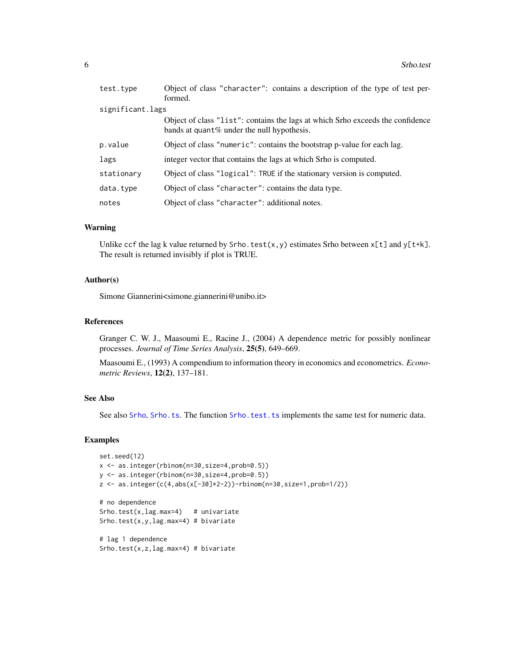<span id="page-5-0"></span>

| test.type        | Object of class "character": contains a description of the type of test per-<br>formed.                                         |
|------------------|---------------------------------------------------------------------------------------------------------------------------------|
| significant.lags |                                                                                                                                 |
|                  | Object of class "list": contains the lags at which Srho exceeds the confidence<br>bands at quant $%$ under the null hypothesis. |
| p.value          | Object of class "numeric": contains the bootstrap p-value for each lag.                                                         |
| lags             | integer vector that contains the lags at which Srho is computed.                                                                |
| stationary       | Object of class "logical": TRUE if the stationary version is computed.                                                          |
| data.type        | Object of class "character": contains the data type.                                                                            |
| notes            | Object of class "character": additional notes.                                                                                  |

#### Warning

Unlike ccf the lag k value returned by Srho.test(x,y) estimates Srho between  $x[t]$  and  $y[t+k]$ . The result is returned invisibly if plot is TRUE.

# Author(s)

Simone Giannerini<simone.giannerini@unibo.it>

#### References

Granger C. W. J., Maasoumi E., Racine J., (2004) A dependence metric for possibly nonlinear processes. *Journal of Time Series Analysis*, 25(5), 649–669.

Maasoumi E., (1993) A compendium to information theory in economics and econometrics. *Econometric Reviews*, 12(2), 137–181.

# See Also

See also [Srho](#page-1-1), [Srho.ts](#page-16-1). The function [Srho.test.ts](#page-11-1) implements the same test for numeric data.

# Examples

```
set.seed(12)
x <- as.integer(rbinom(n=30,size=4,prob=0.5))
y <- as.integer(rbinom(n=30,size=4,prob=0.5))
z \le - as.integer(c(4,abs(x[-30]*2-2))-rbinom(n=30,size=1,prob=1/2))
# no dependence
Srho.test(x, lag.max=4) # univariate
Srho.test(x,y,lag.max=4) # bivariate
# lag 1 dependence
Srho.test(x,z, lag.max=4) # bivariate
```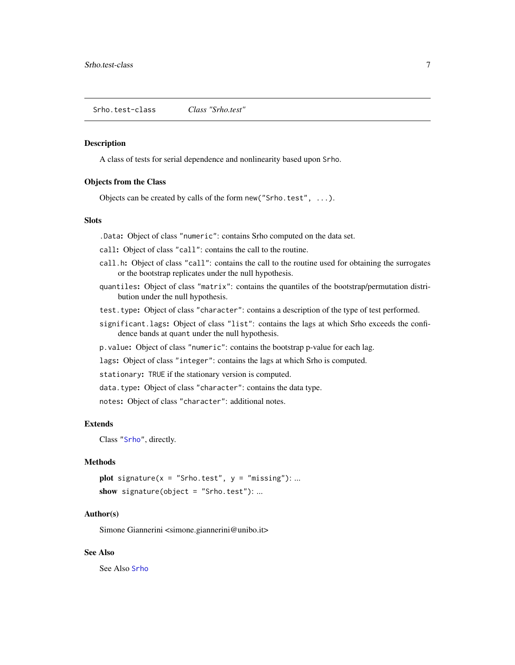<span id="page-6-1"></span><span id="page-6-0"></span>Srho.test-class *Class "Srho.test"*

#### Description

A class of tests for serial dependence and nonlinearity based upon Srho.

#### Objects from the Class

Objects can be created by calls of the form new("Srho.test", ...).

# **Slots**

.Data: Object of class "numeric": contains Srho computed on the data set.

call: Object of class "call": contains the call to the routine.

- call.h: Object of class "call": contains the call to the routine used for obtaining the surrogates or the bootstrap replicates under the null hypothesis.
- quantiles: Object of class "matrix": contains the quantiles of the bootstrap/permutation distribution under the null hypothesis.
- test.type: Object of class "character": contains a description of the type of test performed.
- significant.lags: Object of class "list": contains the lags at which Srho exceeds the confidence bands at quant under the null hypothesis.
- p.value: Object of class "numeric": contains the bootstrap p-value for each lag.

lags: Object of class "integer": contains the lags at which Srho is computed.

stationary: TRUE if the stationary version is computed.

data.type: Object of class "character": contains the data type.

notes: Object of class "character": additional notes.

#### Extends

Class ["Srho"](#page-3-1), directly.

# Methods

plot signature( $x = "Srho.test", y = "missing"); ...$ show signature(object = "Srho.test"): ...

# Author(s)

Simone Giannerini <simone.giannerini@unibo.it>

# See Also

See Also [Srho](#page-3-1)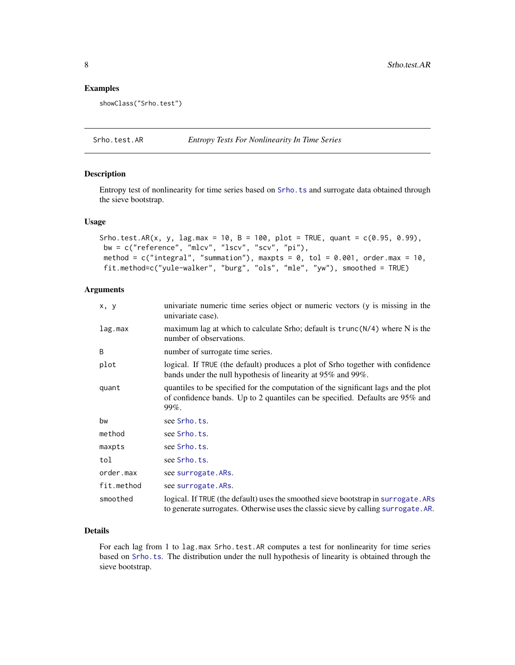#### <span id="page-7-0"></span>Examples

showClass("Srho.test")

<span id="page-7-1"></span>Srho.test.AR *Entropy Tests For Nonlinearity In Time Series*

#### Description

Entropy test of nonlinearity for time series based on [Srho.ts](#page-16-1) and surrogate data obtained through the sieve bootstrap.

# Usage

```
Srho.test.AR(x, y, lag.max = 10, B = 100, plot = TRUE, quant = c(0.95, 0.99),
bw = c("reference", "mlcv", "lscv", "scv", "pi"),
method = c("integral", "summation"), maxpts = 0, tol = 0.001, order.max = 10,
fit.method=c("yule-walker", "burg", "ols", "mle", "yw"), smoothed = TRUE)
```
# Arguments

| x, y       | univariate numeric time series object or numeric vectors (y is missing in the<br>univariate case).                                                                          |
|------------|-----------------------------------------------------------------------------------------------------------------------------------------------------------------------------|
| lag.max    | maximum lag at which to calculate Srho; default is $trunc(N/4)$ where N is the<br>number of observations.                                                                   |
| B          | number of surrogate time series.                                                                                                                                            |
| plot       | logical. If TRUE (the default) produces a plot of Srho together with confidence<br>bands under the null hypothesis of linearity at 95% and 99%.                             |
| quant      | quantiles to be specified for the computation of the significant lags and the plot<br>of confidence bands. Up to 2 quantiles can be specified. Defaults are 95% and<br>99%. |
| bw         | see Srho.ts.                                                                                                                                                                |
| method     | see Srho.ts.                                                                                                                                                                |
| maxpts     | see Srho.ts.                                                                                                                                                                |
| tol        | see Srho.ts.                                                                                                                                                                |
| order.max  | see surrogate. ARs.                                                                                                                                                         |
| fit.method | see surrogate. ARs.                                                                                                                                                         |
| smoothed   | logical. If TRUE (the default) uses the smoothed sieve bootstrap in surrogate. ARs<br>to generate surrogates. Otherwise uses the classic sieve by calling surrogate. AR.    |

# Details

For each lag from 1 to lag.max Srho.test.AR computes a test for nonlinearity for time series based on [Srho.ts](#page-16-1). The distribution under the null hypothesis of linearity is obtained through the sieve bootstrap.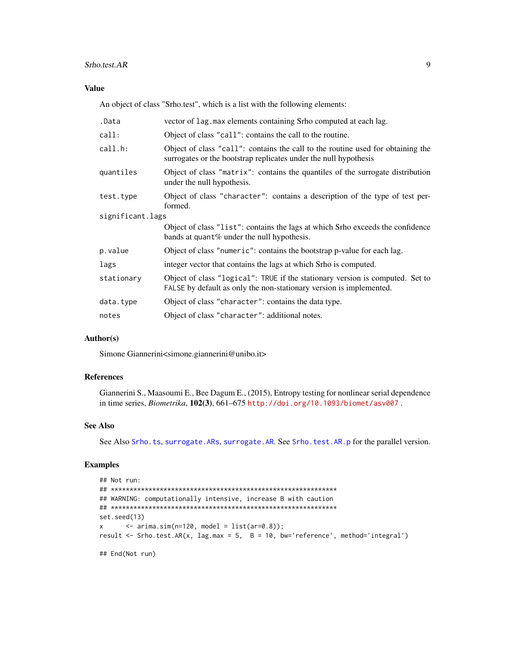#### <span id="page-8-0"></span>Srho.test.AR 9

# Value

An object of class "Srho.test", which is a list with the following elements:

| .Data            | vector of lag. max elements containing Srho computed at each lag.                                                                                    |  |  |  |  |
|------------------|------------------------------------------------------------------------------------------------------------------------------------------------------|--|--|--|--|
| call:            | Object of class "call": contains the call to the routine.                                                                                            |  |  |  |  |
| call.h:          | Object of class "call": contains the call to the routine used for obtaining the<br>surrogates or the bootstrap replicates under the null hypothesis  |  |  |  |  |
| quantiles        | Object of class "matrix": contains the quantiles of the surrogate distribution<br>under the null hypothesis.                                         |  |  |  |  |
| test.type        | Object of class "character": contains a description of the type of test per-<br>formed.                                                              |  |  |  |  |
| significant.lags |                                                                                                                                                      |  |  |  |  |
|                  | Object of class "list": contains the lags at which Srho exceeds the confidence<br>bands at quant % under the null hypothesis.                        |  |  |  |  |
| p.value          | Object of class "numeric": contains the bootstrap p-value for each lag.                                                                              |  |  |  |  |
| lags             | integer vector that contains the lags at which Srho is computed.                                                                                     |  |  |  |  |
| stationary       | Object of class "logical": TRUE if the stationary version is computed. Set to<br>FALSE by default as only the non-stationary version is implemented. |  |  |  |  |
| data.type        | Object of class "character": contains the data type.                                                                                                 |  |  |  |  |
| notes            | Object of class "character": additional notes.                                                                                                       |  |  |  |  |

# Author(s)

Simone Giannerini<simone.giannerini@unibo.it>

# References

Giannerini S., Maasoumi E., Bee Dagum E., (2015), Entropy testing for nonlinear serial dependence in time series, *Biometrika*, 102(3), 661–675 <http://doi.org/10.1093/biomet/asv007> .

# See Also

See Also [Srho.ts](#page-16-1), [surrogate.ARs](#page-20-1), [surrogate.AR](#page-19-1). See [Srho.test.AR.p](#page-9-1) for the parallel version.

# Examples

```
## Not run:
## ************************************************************
## WARNING: computationally intensive, increase B with caution
## ************************************************************
set.seed(13)
x \leftarrow \text{arima}.\text{sim}(n=120, \text{ model} = \text{list}(ar=0.8));result <- Srho.test.AR(x, lag.max = 5, B = 10, bw='reference', method='integral')
```
## End(Not run)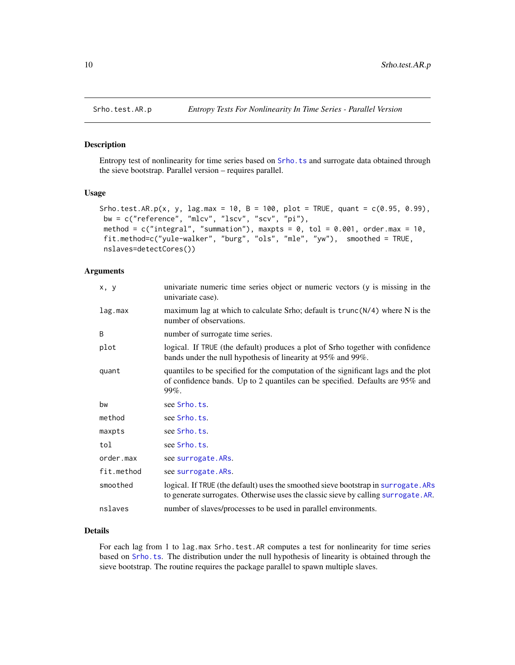<span id="page-9-1"></span><span id="page-9-0"></span>

#### Description

Entropy test of nonlinearity for time series based on [Srho.ts](#page-16-1) and surrogate data obtained through the sieve bootstrap. Parallel version – requires parallel.

# Usage

```
Srho.test.AR.p(x, y, lag.max = 10, B = 100, plot = TRUE, quant = c(0.95, 0.99),
bw = c("reference", "mlcv", "lscv", "scv", "pi"),
method = c("integral", "summation"), maxpts = 0, tol = 0.001, order.max = 10,
fit.method=c("yule-walker", "burg", "ols", "mle", "yw"), smoothed = TRUE,
nslaves=detectCores())
```
# Arguments

| x, y       | univariate numeric time series object or numeric vectors (y is missing in the<br>univariate case).                                                                          |
|------------|-----------------------------------------------------------------------------------------------------------------------------------------------------------------------------|
| lag.max    | maximum lag at which to calculate Srho; default is $trunc(N/4)$ where N is the<br>number of observations.                                                                   |
| B          | number of surrogate time series.                                                                                                                                            |
| plot       | logical. If TRUE (the default) produces a plot of Srho together with confidence<br>bands under the null hypothesis of linearity at 95% and 99%.                             |
| quant      | quantiles to be specified for the computation of the significant lags and the plot<br>of confidence bands. Up to 2 quantiles can be specified. Defaults are 95% and<br>99%. |
| bw         | see Srho.ts.                                                                                                                                                                |
| method     | see Srho.ts.                                                                                                                                                                |
| maxpts     | see Srho.ts.                                                                                                                                                                |
| tol        | see Srho.ts.                                                                                                                                                                |
| order.max  | see surrogate. ARs.                                                                                                                                                         |
| fit.method | see surrogate. ARs.                                                                                                                                                         |
| smoothed   | logical. If TRUE (the default) uses the smoothed sieve bootstrap in surrogate. ARs<br>to generate surrogates. Otherwise uses the classic sieve by calling surrogate. AR.    |
| nslaves    | number of slaves/processes to be used in parallel environments.                                                                                                             |

# Details

For each lag from 1 to lag.max Srho.test.AR computes a test for nonlinearity for time series based on [Srho.ts](#page-16-1). The distribution under the null hypothesis of linearity is obtained through the sieve bootstrap. The routine requires the package parallel to spawn multiple slaves.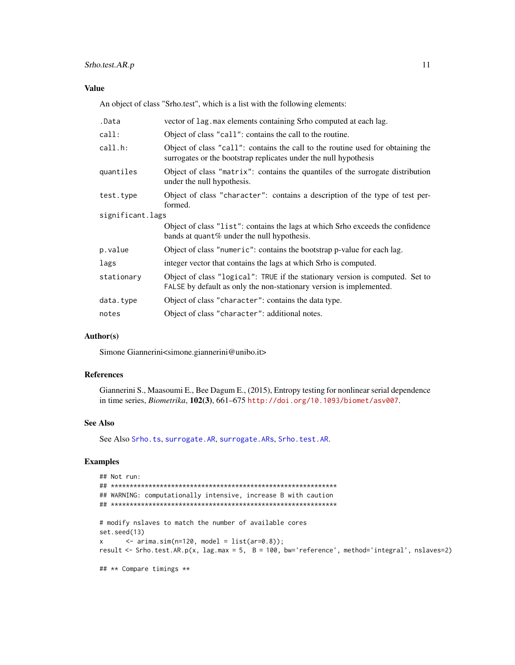# <span id="page-10-0"></span>Srho.test.AR.p 11

# Value

An object of class "Srho.test", which is a list with the following elements:

| .Data            | vector of lag. max elements containing Srho computed at each lag.                                                                                    |
|------------------|------------------------------------------------------------------------------------------------------------------------------------------------------|
| call:            | Object of class "call": contains the call to the routine.                                                                                            |
| call.h:          | Object of class "call": contains the call to the routine used for obtaining the<br>surrogates or the bootstrap replicates under the null hypothesis  |
| quantiles        | Object of class "matrix": contains the quantiles of the surrogate distribution<br>under the null hypothesis.                                         |
| test.type        | Object of class "character": contains a description of the type of test per-<br>formed.                                                              |
| significant.lags |                                                                                                                                                      |
|                  | Object of class "list": contains the lags at which Srho exceeds the confidence<br>bands at quant% under the null hypothesis.                         |
| p.value          | Object of class "numeric": contains the bootstrap p-value for each lag.                                                                              |
| lags             | integer vector that contains the lags at which Srho is computed.                                                                                     |
| stationary       | Object of class "logical": TRUE if the stationary version is computed. Set to<br>FALSE by default as only the non-stationary version is implemented. |
| data.type        | Object of class "character": contains the data type.                                                                                                 |
| notes            | Object of class "character": additional notes.                                                                                                       |

# Author(s)

Simone Giannerini<simone.giannerini@unibo.it>

# References

Giannerini S., Maasoumi E., Bee Dagum E., (2015), Entropy testing for nonlinear serial dependence in time series, *Biometrika*, 102(3), 661–675 <http://doi.org/10.1093/biomet/asv007>.

#### See Also

See Also [Srho.ts](#page-16-1), [surrogate.AR](#page-19-1), [surrogate.ARs](#page-20-1), [Srho.test.AR](#page-7-1).

# Examples

```
## Not run:
## ************************************************************
## WARNING: computationally intensive, increase B with caution
## ************************************************************
# modify nslaves to match the number of available cores
set.seed(13)
x \le - arima.sim(n=120, model = list(ar=0.8));
result <- Srho.test.AR.p(x, lag.max = 5, B = 100, bw='reference', method='integral', nslaves=2)
## ** Compare timings **
```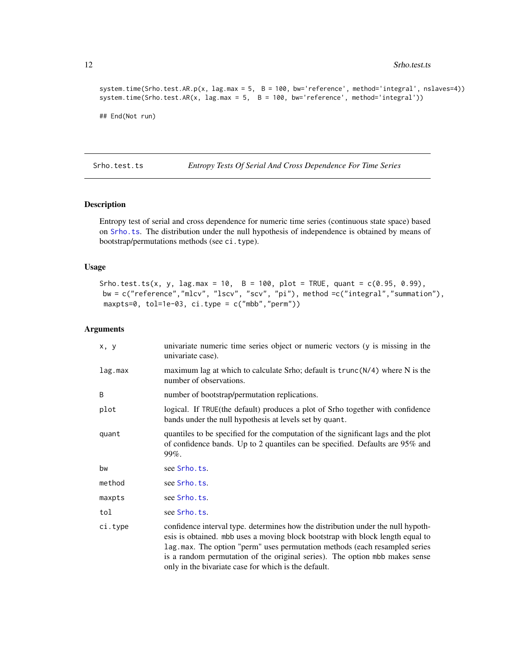```
system.time(Srho.test.AR.p(x, lag.max = 5, B = 100, bw='reference', method='integral', nslaves=4))
system.time(Srho.test.AR(x, lag.max = 5, B = 100, bw='reference', method='integral'))
```

```
## End(Not run)
```
<span id="page-11-1"></span>Srho.test.ts *Entropy Tests Of Serial And Cross Dependence For Time Series*

# Description

Entropy test of serial and cross dependence for numeric time series (continuous state space) based on [Srho.ts](#page-16-1). The distribution under the null hypothesis of independence is obtained by means of bootstrap/permutations methods (see ci.type).

#### Usage

```
Srho.test.ts(x, y, lag.max = 10, B = 100, plot = TRUE, quant = c(0.95, 0.99),
bw = c("reference","mlcv", "lscv", "scv", "pi"), method =c("integral","summation"),
maxpts=0, tol=1e-03, ci.type = c("mbb","perm"))
```
# Arguments

| x, y    | univariate numeric time series object or numeric vectors (y is missing in the<br>univariate case).                                                                                                                                                                                                                                                                                      |
|---------|-----------------------------------------------------------------------------------------------------------------------------------------------------------------------------------------------------------------------------------------------------------------------------------------------------------------------------------------------------------------------------------------|
| lag.max | maximum lag at which to calculate Srho; default is $trunc(N/4)$ where N is the<br>number of observations.                                                                                                                                                                                                                                                                               |
| B       | number of bootstrap/permutation replications.                                                                                                                                                                                                                                                                                                                                           |
| plot    | logical. If TRUE (the default) produces a plot of Srho together with confidence<br>bands under the null hypothesis at levels set by quant.                                                                                                                                                                                                                                              |
| quant   | quantiles to be specified for the computation of the significant lags and the plot<br>of confidence bands. Up to 2 quantiles can be specified. Defaults are 95% and<br>99%.                                                                                                                                                                                                             |
| bw      | see Srho.ts.                                                                                                                                                                                                                                                                                                                                                                            |
| method  | see Srho.ts.                                                                                                                                                                                                                                                                                                                                                                            |
| maxpts  | see Srho.ts.                                                                                                                                                                                                                                                                                                                                                                            |
| tol     | see Srho.ts.                                                                                                                                                                                                                                                                                                                                                                            |
| ci.type | confidence interval type. determines how the distribution under the null hypoth-<br>esis is obtained. mbb uses a moving block bootstrap with block length equal to<br>lag.max. The option "perm" uses permutation methods (each resampled series<br>is a random permutation of the original series). The option mbb makes sense<br>only in the bivariate case for which is the default. |

<span id="page-11-0"></span>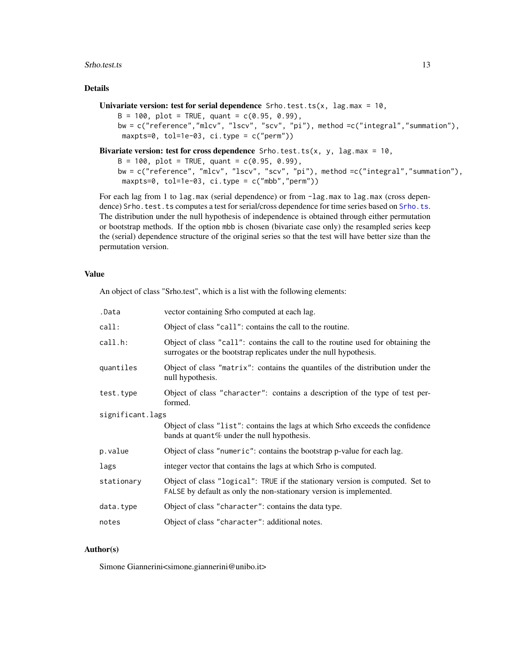#### Srho.test.ts 13

# Details

```
Univariate version: test for serial dependence Srho.test.ts(x, lag.max = 10,
    B = 100, plot = TRUE, quant = c(0.95, 0.99),
    bw = c("reference","mlcv", "lscv", "scv", "pi"), method =c("integral","summation"),
     maxpts=0, tol=1e-03, ci.type = c("perm"))
```
Bivariate version: test for cross dependence Srho.test.ts(x, y, lag.max =  $10$ ,

 $B = 100$ , plot = TRUE, quant =  $c(0.95, 0.99)$ , bw = c("reference", "mlcv", "lscv", "scv", "pi"), method =c("integral","summation"),  $maxpts=0$ ,  $tol=1e-03$ ,  $ci.type = c("mbb", "perm")$ 

For each lag from 1 to lag.max (serial dependence) or from -lag.max to lag.max (cross depen-dence) Srho.test.ts computes a test for serial/cross dependence for time series based on [Srho.ts](#page-16-1). The distribution under the null hypothesis of independence is obtained through either permutation or bootstrap methods. If the option mbb is chosen (bivariate case only) the resampled series keep the (serial) dependence structure of the original series so that the test will have better size than the permutation version.

# Value

An object of class "Srho.test", which is a list with the following elements:

| .Data            | vector containing Srho computed at each lag.                                                                                                         |  |
|------------------|------------------------------------------------------------------------------------------------------------------------------------------------------|--|
| call:            | Object of class "call": contains the call to the routine.                                                                                            |  |
| call.h:          | Object of class "call": contains the call to the routine used for obtaining the<br>surrogates or the bootstrap replicates under the null hypothesis. |  |
| quantiles        | Object of class "matrix": contains the quantiles of the distribution under the<br>null hypothesis.                                                   |  |
| test.type        | Object of class "character": contains a description of the type of test per-<br>formed.                                                              |  |
| significant.lags |                                                                                                                                                      |  |
|                  | Object of class "list": contains the lags at which Srho exceeds the confidence<br>bands at quant% under the null hypothesis.                         |  |
| p.value          | Object of class "numeric": contains the bootstrap p-value for each lag.                                                                              |  |
| lags             | integer vector that contains the lags at which Srho is computed.                                                                                     |  |
| stationary       | Object of class "logical": TRUE if the stationary version is computed. Set to<br>FALSE by default as only the non-stationary version is implemented. |  |
| data.type        | Object of class "character": contains the data type.                                                                                                 |  |
| notes            | Object of class "character": additional notes.                                                                                                       |  |

# Author(s)

Simone Giannerini<simone.giannerini@unibo.it>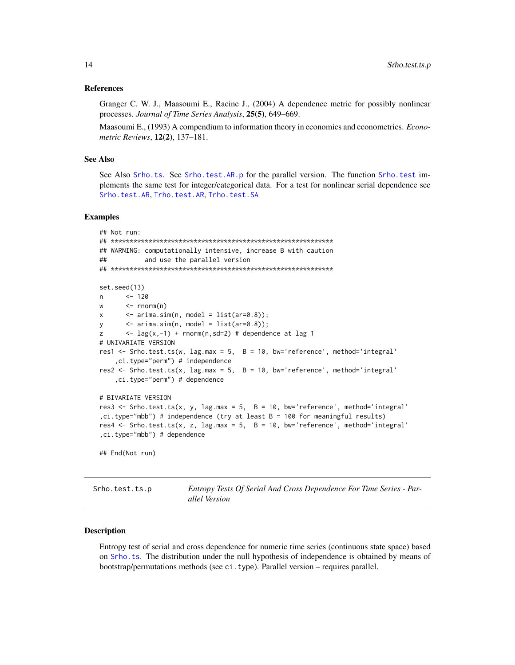#### <span id="page-13-0"></span>References

Granger C. W. J., Maasoumi E., Racine J., (2004) A dependence metric for possibly nonlinear processes. *Journal of Time Series Analysis*, 25(5), 649–669.

Maasoumi E., (1993) A compendium to information theory in economics and econometrics. *Econometric Reviews*, 12(2), 137–181.

#### See Also

See Also [Srho.ts](#page-16-1). See [Srho.test.AR.p](#page-9-1) for the parallel version. The function [Srho.test](#page-4-1) implements the same test for integer/categorical data. For a test for nonlinear serial dependence see [Srho.test.AR](#page-7-1), [Trho.test.AR](#page-23-1), [Trho.test.SA](#page-27-1)

#### Examples

```
## Not run:
## ***********************************************************
## WARNING: computationally intensive, increase B with caution
## and use the parallel version
## ***********************************************************
set.seed(13)
n <- 120
w <- rnorm(n)
x \leq -\ar{ima.sim(n, model = list(ar=0.8));}y <- arima.sim(n, model = list(ar=0.8));
z \leq -\log(x, -1) + \text{norm}(n, \text{sd}=2) # dependence at lag 1
# UNIVARIATE VERSION
res1 <- Srho.test.ts(w, lag.max = 5, B = 10, bw='reference', method='integral'
    ,ci.type="perm") # independence
res2 <- Srho.test.ts(x, lag.max = 5, B = 10, bw='reference', method='integral'
    ,ci.type="perm") # dependence
# BIVARIATE VERSION
res3 <- Srho.test.ts(x, y, lag.max = 5, B = 10, bw='reference', method='integral'
,ci.type="mbb") # independence (try at least B = 100 for meaningful results)
res4 \le Srho.test.ts(x, z, lag.max = 5, B = 10, bw='reference', method='integral'
,ci.type="mbb") # dependence
## End(Not run)
```
Srho.test.ts.p *Entropy Tests Of Serial And Cross Dependence For Time Series - Parallel Version*

#### Description

Entropy test of serial and cross dependence for numeric time series (continuous state space) based on [Srho.ts](#page-16-1). The distribution under the null hypothesis of independence is obtained by means of bootstrap/permutations methods (see ci.type). Parallel version – requires parallel.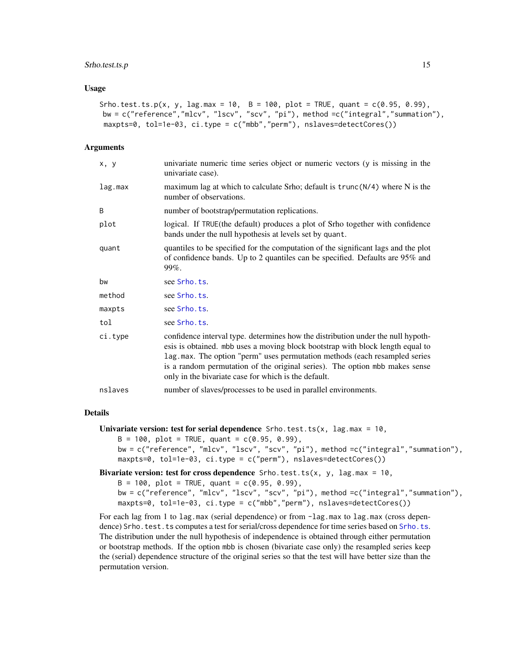#### Srho.test.ts.p 15

#### Usage

```
Srho.test.ts.p(x, y, lag.max = 10, B = 100, plot = TRUE, quant = c(0.95, 0.99),
bw = c("reference","mlcv", "lscv", "scv", "pi"), method =c("integral","summation"),
maxpts=0, tol=1e-03, ci.type = c("mbb","perm"), nslaves=detectCores())
```
#### Arguments

| univariate numeric time series object or numeric vectors (y is missing in the<br>univariate case).                                                                                                                                                                                                                                                                                      |
|-----------------------------------------------------------------------------------------------------------------------------------------------------------------------------------------------------------------------------------------------------------------------------------------------------------------------------------------------------------------------------------------|
| maximum lag at which to calculate Srho; default is $trunc(N/4)$ where N is the<br>number of observations.                                                                                                                                                                                                                                                                               |
| number of bootstrap/permutation replications.                                                                                                                                                                                                                                                                                                                                           |
| logical. If TRUE(the default) produces a plot of Srho together with confidence<br>bands under the null hypothesis at levels set by quant.                                                                                                                                                                                                                                               |
| quantiles to be specified for the computation of the significant lags and the plot<br>of confidence bands. Up to 2 quantiles can be specified. Defaults are 95% and<br>$99\%$ .                                                                                                                                                                                                         |
| see Srho.ts.                                                                                                                                                                                                                                                                                                                                                                            |
| see Srho.ts.                                                                                                                                                                                                                                                                                                                                                                            |
| see Srho.ts.                                                                                                                                                                                                                                                                                                                                                                            |
| see Srho.ts.                                                                                                                                                                                                                                                                                                                                                                            |
| confidence interval type. determines how the distribution under the null hypoth-<br>esis is obtained. mbb uses a moving block bootstrap with block length equal to<br>lag.max. The option "perm" uses permutation methods (each resampled series<br>is a random permutation of the original series). The option mbb makes sense<br>only in the bivariate case for which is the default. |
| number of slaves/processes to be used in parallel environments.                                                                                                                                                                                                                                                                                                                         |
|                                                                                                                                                                                                                                                                                                                                                                                         |

# Details

```
Univariate version: test for serial dependence Srho.test.ts(x, lag.max = 10,
```

```
B = 100, plot = TRUE, quant = c(0.95, 0.99),
```

```
bw = c("reference", "mlcv", "lscv", "scv", "pi"), method =c("integral","summation"),
maxpts=0, tol=1e-03, ci.type = c("perm"), nslaves=detectCores())
```

```
Bivariate version: test for cross dependence Srho.test.ts(x, y, lag.max = 10,
```

```
B = 100, plot = TRUE, quant = c(0.95, 0.99),
bw = c("reference", "mlcv", "lscv", "scv", "pi"), method =c("integral","summation"),
maxpts=0, tol=1e-03, ci.type = c("mbb","perm"), nslaves=detectCores())
```
For each lag from 1 to lag.max (serial dependence) or from -lag.max to lag.max (cross depen-dence) Srho.test.ts computes a test for serial/cross dependence for time series based on [Srho.ts](#page-16-1). The distribution under the null hypothesis of independence is obtained through either permutation or bootstrap methods. If the option mbb is chosen (bivariate case only) the resampled series keep the (serial) dependence structure of the original series so that the test will have better size than the permutation version.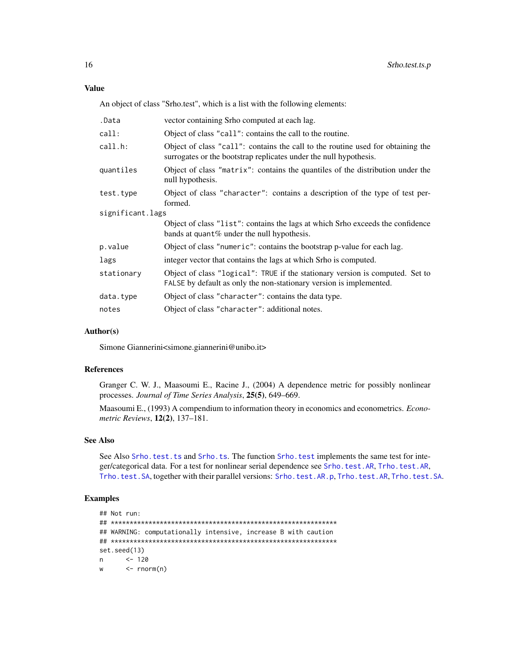# <span id="page-15-0"></span>Value

An object of class "Srho.test", which is a list with the following elements:

| .Data            | vector containing Srho computed at each lag.                                                                                                         |  |
|------------------|------------------------------------------------------------------------------------------------------------------------------------------------------|--|
| call:            | Object of class "call": contains the call to the routine.                                                                                            |  |
| call.h:          | Object of class "call": contains the call to the routine used for obtaining the<br>surrogates or the bootstrap replicates under the null hypothesis. |  |
| quantiles        | Object of class "matrix": contains the quantiles of the distribution under the<br>null hypothesis.                                                   |  |
| test.type        | Object of class "character": contains a description of the type of test per-<br>formed.                                                              |  |
| significant.lags |                                                                                                                                                      |  |
|                  | Object of class "list": contains the lags at which Srho exceeds the confidence<br>bands at quant % under the null hypothesis.                        |  |
| p.value          | Object of class "numeric": contains the bootstrap p-value for each lag.                                                                              |  |
| lags             | integer vector that contains the lags at which Srho is computed.                                                                                     |  |
| stationary       | Object of class "logical": TRUE if the stationary version is computed. Set to<br>FALSE by default as only the non-stationary version is implemented. |  |
| data.type        | Object of class "character": contains the data type.                                                                                                 |  |
| notes            | Object of class "character": additional notes.                                                                                                       |  |

#### Author(s)

Simone Giannerini<simone.giannerini@unibo.it>

#### References

Granger C. W. J., Maasoumi E., Racine J., (2004) A dependence metric for possibly nonlinear processes. *Journal of Time Series Analysis*, 25(5), 649–669.

Maasoumi E., (1993) A compendium to information theory in economics and econometrics. *Econometric Reviews*, 12(2), 137–181.

# See Also

See Also [Srho.test.ts](#page-11-1) and [Srho.ts](#page-16-1). The function [Srho.test](#page-4-1) implements the same test for integer/categorical data. For a test for nonlinear serial dependence see [Srho.test.AR](#page-7-1), [Trho.test.AR](#page-23-1), [Trho.test.SA](#page-27-1), together with their parallel versions: [Srho.test.AR.p](#page-9-1), [Trho.test.AR](#page-23-1), [Trho.test.SA](#page-27-1).

# Examples

```
## Not run:
## ************************************************************
## WARNING: computationally intensive, increase B with caution
## ************************************************************
set.seed(13)
n <- 120
w <- rnorm(n)
```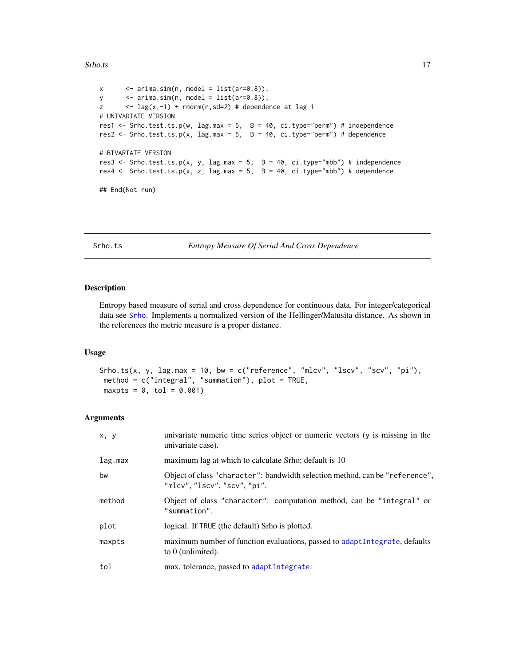#### <span id="page-16-0"></span>Srho.ts and the state of the state of the state of the state of the state of the state of the state of the state of the state of the state of the state of the state of the state of the state of the state of the state of th

```
x \leq -\ar{ima.sim(n, model = list(ar=0.8));}y \leq -\ar{ima.sim(n, model = list(ar=0.8));}z \leftarrow lag(x,-1) + rnorm(n,sd=2) # dependence at lag 1
# UNIVARIATE VERSION
res1 <- Srho.test.ts.p(w, lag.max = 5, B = 40, ci.type="perm") # independence
res2 <- Srho.test.ts.p(x, lag.max = 5, B = 40, ci.type="perm") # dependence
# BIVARIATE VERSION
res3 <- Srho.test.ts.p(x, y, lag.max = 5, B = 40, ci.type="mbb") # independence
res4 \le Srho.test.ts.p(x, z, lag.max = 5, B = 40, ci.type="mbb") # dependence
## End(Not run)
```
<span id="page-16-1"></span>Srho.ts *Entropy Measure Of Serial And Cross Dependence*

#### Description

Entropy based measure of serial and cross dependence for continuous data. For integer/categorical data see [Srho](#page-1-1). Implements a normalized version of the Hellinger/Matusita distance. As shown in the references the metric measure is a proper distance.

#### Usage

```
Srho.ts(x, y, lag.max = 10, bw = c("reference", "mlcv", "lscv", "scv", "pi"),method = c("integral", "summation"), plot = TRUE,maxpts = 0, tol = 0.001
```
#### Arguments

| x, y    | univariate numeric time series object or numeric vectors (y is missing in the<br>univariate case).           |
|---------|--------------------------------------------------------------------------------------------------------------|
| lag.max | maximum lag at which to calculate Srho; default is 10                                                        |
| bw      | Object of class "character": bandwidth selection method, can be "reference",<br>"mlcv", "lscv", "scv", "pi". |
| method  | Object of class "character": computation method, can be "integral" or<br>"summation".                        |
| plot    | logical. If TRUE (the default) Srho is plotted.                                                              |
| maxpts  | maximum number of function evaluations, passed to adaptIntegrate, defaults<br>to $0$ (unlimited).            |
| tol     | max. tolerance, passed to adaptIntegrate.                                                                    |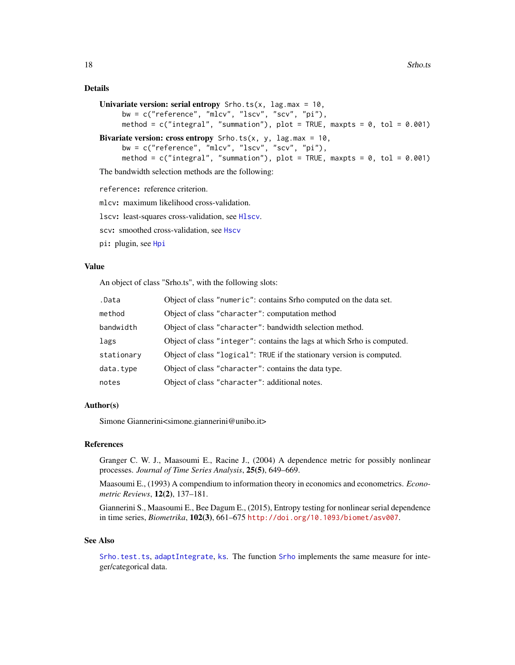# <span id="page-17-0"></span>Details

```
Univariate version: serial entropy Srho.ts(x, lag.max = 10,
     bw = c("reference", "mlcv", "lscv", "scv", "pi"),
     method = c("integral", "summation"), plot = TRUE, maxpts = 0, tol = 0.001)Bivariate version: cross entropy Srho.ts(x, y, lag.max = 10,
     bw = c("reference", "mlcv", "lscv", "scv", "pi"),
     method = c("integral", "summation"), plot = TRUE, maxpts = 0, tol = 0.001)
```
The bandwidth selection methods are the following:

reference: reference criterion.

mlcv: maximum likelihood cross-validation.

lscv: least-squares cross-validation, see [Hlscv](#page-0-0).

scv: smoothed cross-validation, see [Hscv](#page-0-0)

pi: plugin, see [Hpi](#page-0-0)

#### Value

An object of class "Srho.ts", with the following slots:

| .Data      | Object of class "numeric": contains Srho computed on the data set.      |
|------------|-------------------------------------------------------------------------|
| method     | Object of class "character": computation method                         |
| bandwidth  | Object of class "character": bandwidth selection method.                |
| lags       | Object of class "integer": contains the lags at which Srho is computed. |
| stationary | Object of class "logical": TRUE if the stationary version is computed.  |
| data.type  | Object of class "character": contains the data type.                    |
| notes      | Object of class "character": additional notes.                          |

# Author(s)

Simone Giannerini<simone.giannerini@unibo.it>

# References

Granger C. W. J., Maasoumi E., Racine J., (2004) A dependence metric for possibly nonlinear processes. *Journal of Time Series Analysis*, 25(5), 649–669.

Maasoumi E., (1993) A compendium to information theory in economics and econometrics. *Econometric Reviews*, 12(2), 137–181.

Giannerini S., Maasoumi E., Bee Dagum E., (2015), Entropy testing for nonlinear serial dependence in time series, *Biometrika*, 102(3), 661–675 <http://doi.org/10.1093/biomet/asv007>.

#### See Also

[Srho.test.ts](#page-11-1), [adaptIntegrate](#page-0-0), [ks](#page-0-0). The function [Srho](#page-1-1) implements the same measure for integer/categorical data.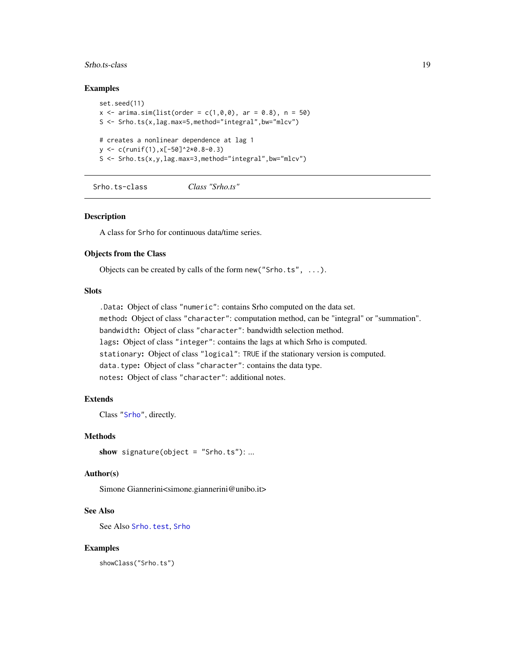#### <span id="page-18-0"></span>Srho.ts-class 19

#### Examples

```
set.seed(11)
x \le -\arima.sim(list(order = c(1, 0, 0), ar = 0.8), n = 50)S \leq Srho.ts(x,lag.max=5,method="integral",bw="mlcv")
# creates a nonlinear dependence at lag 1
y <- c(runif(1),x[-50]^2*0.8-0.3)
S <- Srho.ts(x,y,lag.max=3,method="integral",bw="mlcv")
```
Srho.ts-class *Class "Srho.ts"*

# Description

A class for Srho for continuous data/time series.

# Objects from the Class

Objects can be created by calls of the form new ("Srho.ts",  $\dots$ ).

# Slots

.Data: Object of class "numeric": contains Srho computed on the data set. method: Object of class "character": computation method, can be "integral" or "summation". bandwidth: Object of class "character": bandwidth selection method. lags: Object of class "integer": contains the lags at which Srho is computed. stationary: Object of class "logical": TRUE if the stationary version is computed. data.type: Object of class "character": contains the data type. notes: Object of class "character": additional notes.

#### Extends

Class ["Srho"](#page-3-1), directly.

#### Methods

```
show signature(object = "Srho.ts"): ...
```
#### Author(s)

Simone Giannerini<simone.giannerini@unibo.it>

#### See Also

See Also [Srho.test](#page-6-1), [Srho](#page-3-1)

# Examples

showClass("Srho.ts")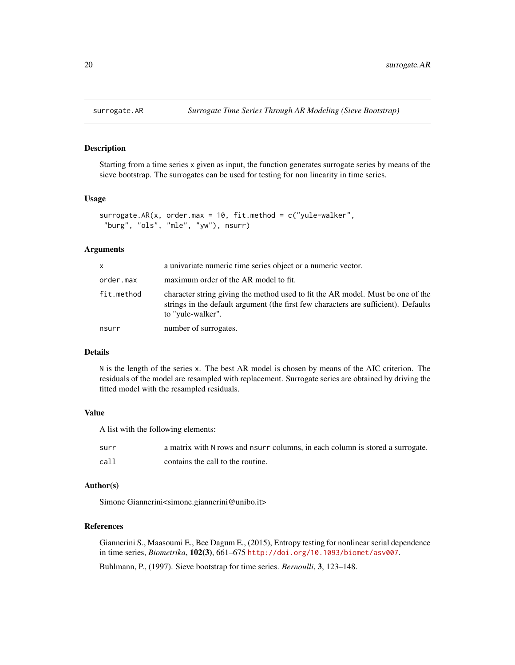<span id="page-19-1"></span><span id="page-19-0"></span>

# Description

Starting from a time series x given as input, the function generates surrogate series by means of the sieve bootstrap. The surrogates can be used for testing for non linearity in time series.

#### Usage

```
surrogate.AR(x, order.max = 10, fit.method = c("yule-walker","burg", "ols", "mle", "yw"), nsurr)
```
# Arguments

| X          | a univariate numeric time series object or a numeric vector.                                                                                                                                |
|------------|---------------------------------------------------------------------------------------------------------------------------------------------------------------------------------------------|
| order.max  | maximum order of the AR model to fit.                                                                                                                                                       |
| fit.method | character string giving the method used to fit the AR model. Must be one of the<br>strings in the default argument (the first few characters are sufficient). Defaults<br>to "yule-walker". |
| nsurr      | number of surrogates.                                                                                                                                                                       |

# Details

N is the length of the series x. The best AR model is chosen by means of the AIC criterion. The residuals of the model are resampled with replacement. Surrogate series are obtained by driving the fitted model with the resampled residuals.

# Value

A list with the following elements:

| surr | a matrix with N rows and nsurr columns, in each column is stored a surrogate. |
|------|-------------------------------------------------------------------------------|
| call | contains the call to the routine.                                             |

# Author(s)

Simone Giannerini<simone.giannerini@unibo.it>

# References

Giannerini S., Maasoumi E., Bee Dagum E., (2015), Entropy testing for nonlinear serial dependence in time series, *Biometrika*, 102(3), 661–675 <http://doi.org/10.1093/biomet/asv007>.

Buhlmann, P., (1997). Sieve bootstrap for time series. *Bernoulli*, 3, 123–148.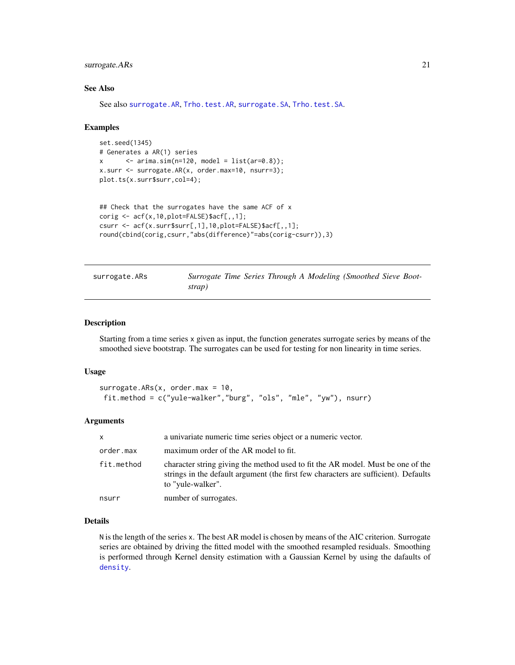# <span id="page-20-0"></span>surrogate.ARs 21

# See Also

See also [surrogate.AR](#page-19-1), [Trho.test.AR](#page-23-1), [surrogate.SA](#page-21-1), [Trho.test.SA](#page-27-1).

#### Examples

```
set.seed(1345)
# Generates a AR(1) series
x \le - arima.sim(n=120, model = list(ar=0.8));
x.surr <- surrogate.AR(x, order.max=10, nsurr=3);
plot.ts(x.surr$surr,col=4);
```

```
## Check that the surrogates have the same ACF of x
corig <- acf(x,10,plot=FALSE)$acf[,,1];
csurr <- acf(x.surr$surr[,1],10,plot=FALSE)$acf[,,1];
round(cbind(corig,csurr,"abs(difference)"=abs(corig-csurr)),3)
```
<span id="page-20-1"></span>surrogate.ARs *Surrogate Time Series Through A Modeling (Smoothed Sieve Bootstrap)*

# **Description**

Starting from a time series x given as input, the function generates surrogate series by means of the smoothed sieve bootstrap. The surrogates can be used for testing for non linearity in time series.

#### Usage

```
surrogate.ARs(x, \text{ order.max} = 10,fit.method = c("yule-walker","burg", "ols", "mle", "yw"), nsurr)
```
# Arguments

| X          | a univariate numeric time series object or a numeric vector.                                                                                                                                |
|------------|---------------------------------------------------------------------------------------------------------------------------------------------------------------------------------------------|
| order.max  | maximum order of the AR model to fit.                                                                                                                                                       |
| fit.method | character string giving the method used to fit the AR model. Must be one of the<br>strings in the default argument (the first few characters are sufficient). Defaults<br>to "yule-walker". |
| nsurr      | number of surrogates.                                                                                                                                                                       |

#### Details

N is the length of the series x. The best AR model is chosen by means of the AIC criterion. Surrogate series are obtained by driving the fitted model with the smoothed resampled residuals. Smoothing is performed through Kernel density estimation with a Gaussian Kernel by using the dafaults of [density](#page-0-0).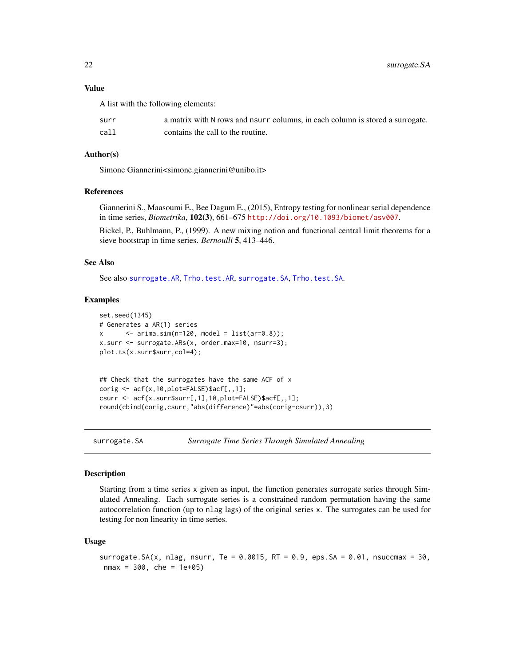# Value

A list with the following elements:

| surr | a matrix with N rows and nsurr columns, in each column is stored a surrogate. |
|------|-------------------------------------------------------------------------------|
| call | contains the call to the routine.                                             |

#### Author(s)

Simone Giannerini<simone.giannerini@unibo.it>

## References

Giannerini S., Maasoumi E., Bee Dagum E., (2015), Entropy testing for nonlinear serial dependence in time series, *Biometrika*, 102(3), 661–675 <http://doi.org/10.1093/biomet/asv007>.

Bickel, P., Buhlmann, P., (1999). A new mixing notion and functional central limit theorems for a sieve bootstrap in time series. *Bernoulli* 5, 413–446.

# See Also

See also [surrogate.AR](#page-19-1), [Trho.test.AR](#page-23-1), [surrogate.SA](#page-21-1), [Trho.test.SA](#page-27-1).

#### Examples

```
set.seed(1345)
# Generates a AR(1) series
x \le - arima.sim(n=120, model = list(ar=0.8));
x.surr <- surrogate.ARs(x, order.max=10, nsurr=3);
plot.ts(x.surr$surr,col=4);
## Check that the surrogates have the same ACF of x
corig \leq acf(x,10,plot=FALSE)$acf[,,1];
```
csurr <- acf(x.surr\$surr[,1],10,plot=FALSE)\$acf[,,1];

round(cbind(corig,csurr,"abs(difference)"=abs(corig-csurr)),3)

```
surrogate.SA Surrogate Time Series Through Simulated Annealing
```
#### Description

Starting from a time series x given as input, the function generates surrogate series through Simulated Annealing. Each surrogate series is a constrained random permutation having the same autocorrelation function (up to nlag lags) of the original series x. The surrogates can be used for testing for non linearity in time series.

#### Usage

```
surrogate.SA(x, nlag, nsurr, Te = 0.0015, RT = 0.9, eps.SA = 0.01, nsuccmax = 30,
nmax = 300, che = 1e+05)
```
<span id="page-21-0"></span>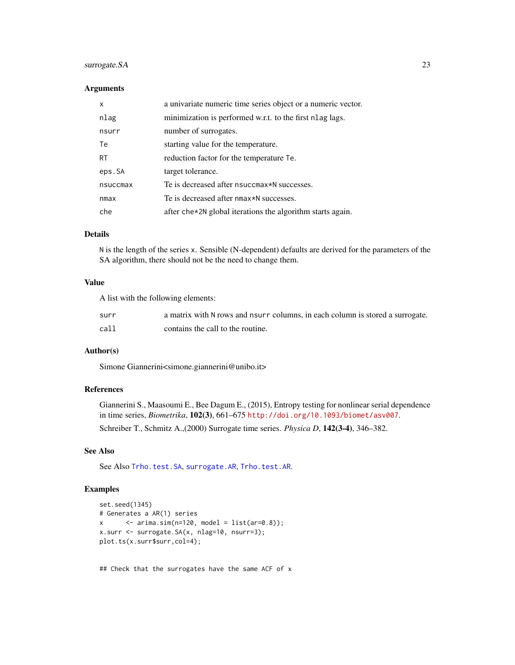# <span id="page-22-0"></span>surrogate.SA 23

# Arguments

| X         | a univariate numeric time series object or a numeric vector. |
|-----------|--------------------------------------------------------------|
| nlag      | minimization is performed w.r.t. to the first nlag lags.     |
| nsurr     | number of surrogates.                                        |
| Te        | starting value for the temperature.                          |
| <b>RT</b> | reduction factor for the temperature Te.                     |
| eps.SA    | target tolerance.                                            |
| nsuccmax  | Te is decreased after nsuccmax*N successes.                  |
| nmax      | Te is decreased after nmax*N successes.                      |
| che       | after che*2N global iterations the algorithm starts again.   |

# Details

N is the length of the series x. Sensible (N-dependent) defaults are derived for the parameters of the SA algorithm, there should not be the need to change them.

# Value

A list with the following elements:

| surr | a matrix with N rows and nsurr columns, in each column is stored a surrogate. |
|------|-------------------------------------------------------------------------------|
| call | contains the call to the routine.                                             |

# Author(s)

Simone Giannerini<simone.giannerini@unibo.it>

# References

Giannerini S., Maasoumi E., Bee Dagum E., (2015), Entropy testing for nonlinear serial dependence in time series, *Biometrika*, 102(3), 661–675 <http://doi.org/10.1093/biomet/asv007>.

Schreiber T., Schmitz A.,(2000) Surrogate time series. *Physica D*, 142(3-4), 346–382.

# See Also

See Also [Trho.test.SA](#page-27-1), [surrogate.AR](#page-19-1), [Trho.test.AR](#page-23-1).

# Examples

```
set.seed(1345)
# Generates a AR(1) series
x \le - arima.sim(n=120, model = list(ar=0.8));
x.surr <- surrogate.SA(x, nlag=10, nsurr=3);
plot.ts(x.surr$surr,col=4);
```
## Check that the surrogates have the same ACF of x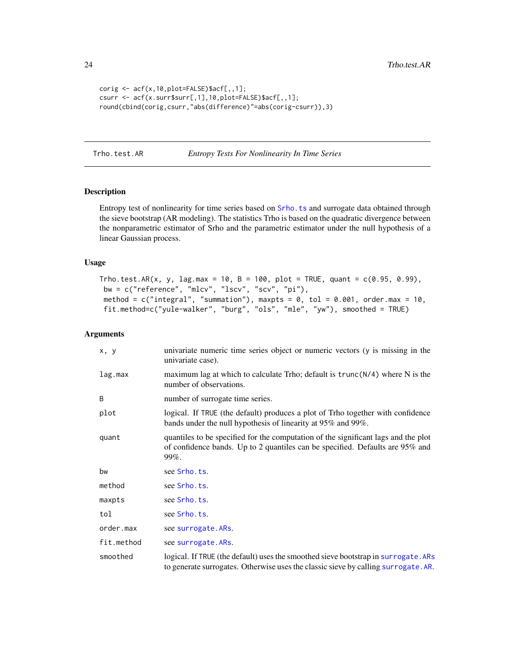```
corig <- acf(x,10,plot=FALSE)$acf[,,1];
csurr <- acf(x.surr$surr[,1],10,plot=FALSE)$acf[,,1];
round(cbind(corig,csurr,"abs(difference)"=abs(corig-csurr)),3)
```
<span id="page-23-1"></span>Trho.test.AR *Entropy Tests For Nonlinearity In Time Series*

# Description

Entropy test of nonlinearity for time series based on [Srho.ts](#page-16-1) and surrogate data obtained through the sieve bootstrap (AR modeling). The statistics Trho is based on the quadratic divergence between the nonparametric estimator of Srho and the parametric estimator under the null hypothesis of a linear Gaussian process.

# Usage

```
\text{Trho.test.AR}(x, y, lag.max = 10, B = 100, plot = TRUE, quant = c(0.95, 0.99),bw = c("reference", "mlcv", "lscv", "scv", "pi"),
method = c("integral", "summation"), maxpts = 0, tol = 0.001, order.max = 10,
fit.method=c("yule-walker", "burg", "ols", "mle", "yw"), smoothed = TRUE)
```
#### Arguments

| x, y       | univariate numeric time series object or numeric vectors (y is missing in the<br>univariate case).                                                                              |
|------------|---------------------------------------------------------------------------------------------------------------------------------------------------------------------------------|
| lag.max    | maximum lag at which to calculate Trho; default is $trunc(N/4)$ where N is the<br>number of observations.                                                                       |
| B          | number of surrogate time series.                                                                                                                                                |
| plot       | logical. If TRUE (the default) produces a plot of Trho together with confidence<br>bands under the null hypothesis of linearity at 95% and 99%.                                 |
| quant      | quantiles to be specified for the computation of the significant lags and the plot<br>of confidence bands. Up to 2 quantiles can be specified. Defaults are 95% and<br>$99\%$ . |
| bw         | see Srho.ts.                                                                                                                                                                    |
| method     | see Srho.ts.                                                                                                                                                                    |
| maxpts     | see Srho.ts.                                                                                                                                                                    |
| tol        | see Srho.ts.                                                                                                                                                                    |
| order.max  | see surrogate. ARs.                                                                                                                                                             |
| fit.method | see surrogate. ARs.                                                                                                                                                             |
| smoothed   | logical. If TRUE (the default) uses the smoothed sieve bootstrap in surrogate. ARs<br>to generate surrogates. Otherwise uses the classic sieve by calling surrogate. AR.        |

<span id="page-23-0"></span>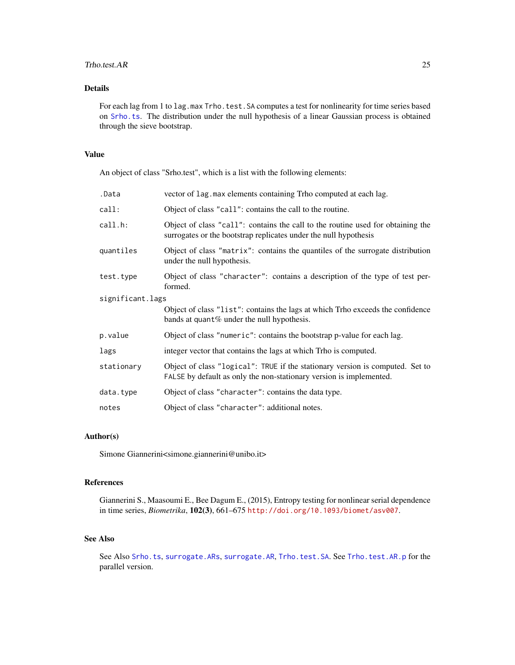#### <span id="page-24-0"></span>Trho.test.AR 25

# Details

For each lag from 1 to lag.max Trho.test.SA computes a test for nonlinearity for time series based on [Srho.ts](#page-16-1). The distribution under the null hypothesis of a linear Gaussian process is obtained through the sieve bootstrap.

# Value

An object of class "Srho.test", which is a list with the following elements:

| .Data            | vector of lag. max elements containing Trho computed at each lag.                                                                                    |
|------------------|------------------------------------------------------------------------------------------------------------------------------------------------------|
| call:            | Object of class "call": contains the call to the routine.                                                                                            |
| call.h:          | Object of class "call": contains the call to the routine used for obtaining the<br>surrogates or the bootstrap replicates under the null hypothesis  |
| quantiles        | Object of class "matrix": contains the quantiles of the surrogate distribution<br>under the null hypothesis.                                         |
| test.type        | Object of class "character": contains a description of the type of test per-<br>formed.                                                              |
| significant.lags |                                                                                                                                                      |
|                  | Object of class "list": contains the lags at which Trho exceeds the confidence<br>bands at quant % under the null hypothesis.                        |
| p.value          | Object of class "numeric": contains the bootstrap p-value for each lag.                                                                              |
| lags             | integer vector that contains the lags at which Trho is computed.                                                                                     |
| stationary       | Object of class "logical": TRUE if the stationary version is computed. Set to<br>FALSE by default as only the non-stationary version is implemented. |
| data.type        | Object of class "character": contains the data type.                                                                                                 |
| notes            | Object of class "character": additional notes.                                                                                                       |

#### Author(s)

Simone Giannerini<simone.giannerini@unibo.it>

# References

Giannerini S., Maasoumi E., Bee Dagum E., (2015), Entropy testing for nonlinear serial dependence in time series, *Biometrika*, 102(3), 661–675 <http://doi.org/10.1093/biomet/asv007>.

# See Also

See Also [Srho.ts](#page-16-1), [surrogate.ARs](#page-20-1), [surrogate.AR](#page-19-1), [Trho.test.SA](#page-27-1). See [Trho.test.AR.p](#page-25-1) for the parallel version.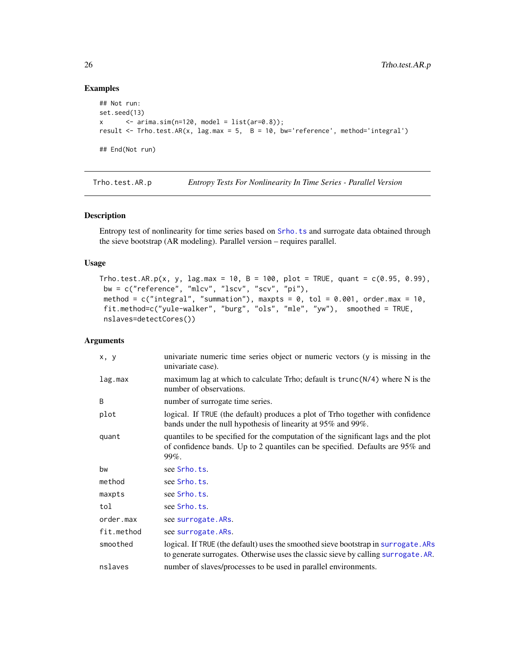## Examples

```
## Not run:
set.seed(13)
x \leq -\ar{ima.sim(n=120, model = list(ar=0.8));}result <- Trho.test.AR(x, lag.max = 5, B = 10, bw='reference', method='integral')
## End(Not run)
```
<span id="page-25-1"></span>Trho.test.AR.p *Entropy Tests For Nonlinearity In Time Series - Parallel Version*

# Description

Entropy test of nonlinearity for time series based on [Srho.ts](#page-16-1) and surrogate data obtained through the sieve bootstrap (AR modeling). Parallel version – requires parallel.

# Usage

```
\text{Trho.test.AR.p}(x, y, lag.max = 10, B = 100, plot = TRUE, quant = c(0.95, 0.99),bw = c("reference", "mlcv", "lscv", "scv", "pi"),
method = c("integral", "summation"), maxpts = 0, tol = 0.001, order.max = 10,fit.method=c("yule-walker", "burg", "ols", "mle", "yw"), smoothed = TRUE,
nslaves=detectCores())
```
# Arguments

| x, y       | univariate numeric time series object or numeric vectors (y is missing in the<br>univariate case).                                                                              |
|------------|---------------------------------------------------------------------------------------------------------------------------------------------------------------------------------|
| lag.max    | maximum lag at which to calculate Trho; default is $trunc(N/4)$ where N is the<br>number of observations.                                                                       |
| B          | number of surrogate time series.                                                                                                                                                |
| plot       | logical. If TRUE (the default) produces a plot of Trho together with confidence<br>bands under the null hypothesis of linearity at 95% and 99%.                                 |
| quant      | quantiles to be specified for the computation of the significant lags and the plot<br>of confidence bands. Up to 2 quantiles can be specified. Defaults are 95% and<br>$99\%$ . |
| bw         | see Srho.ts.                                                                                                                                                                    |
| method     | see Srho.ts.                                                                                                                                                                    |
| maxpts     | see Srho.ts.                                                                                                                                                                    |
| tol        | see Srho.ts.                                                                                                                                                                    |
| order.max  | see surrogate. ARs.                                                                                                                                                             |
| fit.method | see surrogate. ARs.                                                                                                                                                             |
| smoothed   | logical. If TRUE (the default) uses the smoothed sieve bootstrap in surrogate. ARs<br>to generate surrogates. Otherwise uses the classic sieve by calling surrogate. AR.        |
| nslaves    | number of slaves/processes to be used in parallel environments.                                                                                                                 |

<span id="page-25-0"></span>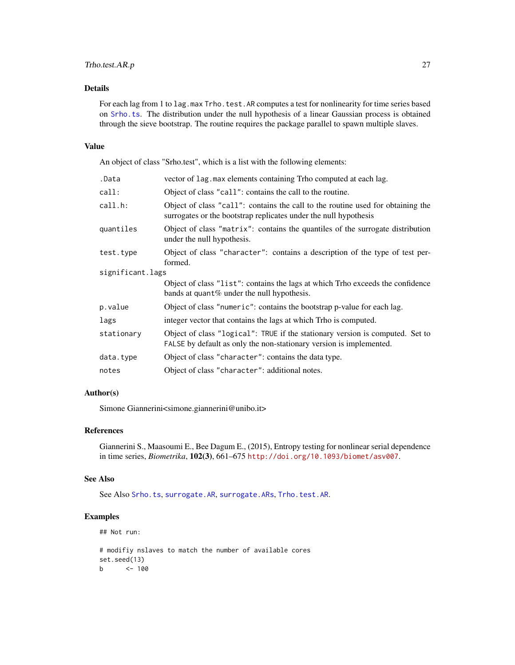# <span id="page-26-0"></span>Trho.test.AR.p 27

# Details

For each lag from 1 to lag.max Trho.test.AR computes a test for nonlinearity for time series based on [Srho.ts](#page-16-1). The distribution under the null hypothesis of a linear Gaussian process is obtained through the sieve bootstrap. The routine requires the package parallel to spawn multiple slaves.

#### Value

An object of class "Srho.test", which is a list with the following elements:

| vector of lag. max elements containing Trho computed at each lag.                                                                                    |  |
|------------------------------------------------------------------------------------------------------------------------------------------------------|--|
| Object of class "call": contains the call to the routine.                                                                                            |  |
| Object of class "call": contains the call to the routine used for obtaining the<br>surrogates or the bootstrap replicates under the null hypothesis  |  |
| Object of class "matrix": contains the quantiles of the surrogate distribution<br>under the null hypothesis.                                         |  |
| Object of class "character": contains a description of the type of test per-<br>formed.                                                              |  |
| significant.lags                                                                                                                                     |  |
| Object of class "list": contains the lags at which Trho exceeds the confidence<br>bands at quant $%$ under the null hypothesis.                      |  |
| Object of class "numeric": contains the bootstrap p-value for each lag.                                                                              |  |
| integer vector that contains the lags at which Trho is computed.                                                                                     |  |
| Object of class "logical": TRUE if the stationary version is computed. Set to<br>FALSE by default as only the non-stationary version is implemented. |  |
| Object of class "character": contains the data type.                                                                                                 |  |
| Object of class "character": additional notes.                                                                                                       |  |
|                                                                                                                                                      |  |

# Author(s)

Simone Giannerini<simone.giannerini@unibo.it>

# References

Giannerini S., Maasoumi E., Bee Dagum E., (2015), Entropy testing for nonlinear serial dependence in time series, *Biometrika*, 102(3), 661–675 <http://doi.org/10.1093/biomet/asv007>.

#### See Also

See Also [Srho.ts](#page-16-1), [surrogate.AR](#page-19-1), [surrogate.ARs](#page-20-1), [Trho.test.AR](#page-23-1).

# Examples

## Not run:

```
# modifiy nslaves to match the number of available cores
set.seed(13)
b <- 100
```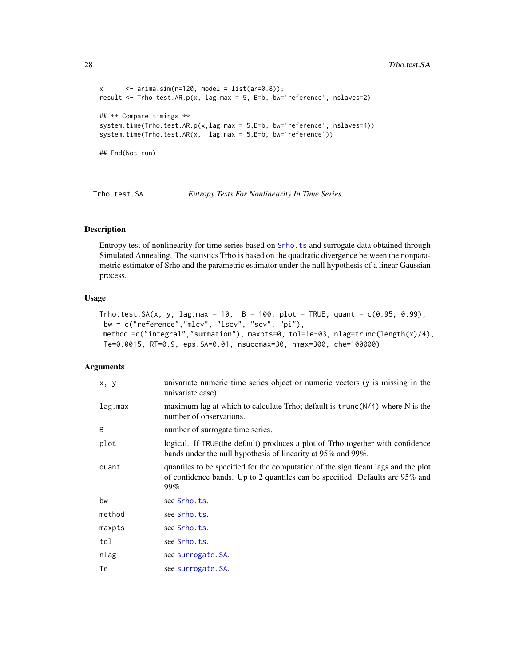```
x \le - arima.sim(n=120, model = list(ar=0.8));
result <- Trho.test.AR.p(x, lag.max = 5, B=b, bw='reference', nslaves=2)
## ** Compare timings **
system.time(Trho.test.AR.p(x,lag.max = 5,B=b, bw='reference', nslaves=4))
system.time(Trho.test.AR(x, lag.max = 5,B=b, bw='reference'))
## End(Not run)
```
<span id="page-27-1"></span>Trho.test.SA *Entropy Tests For Nonlinearity In Time Series*

# Description

Entropy test of nonlinearity for time series based on [Srho.ts](#page-16-1) and surrogate data obtained through Simulated Annealing. The statistics Trho is based on the quadratic divergence between the nonparametric estimator of Srho and the parametric estimator under the null hypothesis of a linear Gaussian process.

#### Usage

```
\text{Trho.test.SA}(x, y, \text{lag.max = 10}, \text{ B = 100}, \text{ plot = TRUE}, \text{ quant = c(0.95, 0.99)},bw = c("reference","mlcv", "lscv", "scv", "pi"),
method =c("integral","summation"), maxpts=0, tol=1e-03, nlag=trunc(length(x)/4),
 Te=0.0015, RT=0.9, eps.SA=0.01, nsuccmax=30, nmax=300, che=100000)
```
#### Arguments

| x, y    | univariate numeric time series object or numeric vectors (y is missing in the<br>univariate case).                                                                              |
|---------|---------------------------------------------------------------------------------------------------------------------------------------------------------------------------------|
| lag.max | maximum lag at which to calculate Trho; default is $trunc(N/4)$ where N is the<br>number of observations.                                                                       |
| B       | number of surrogate time series.                                                                                                                                                |
| plot    | logical. If TRUE (the default) produces a plot of Trho together with confidence<br>bands under the null hypothesis of linearity at 95% and 99%.                                 |
| quant   | quantiles to be specified for the computation of the significant lags and the plot<br>of confidence bands. Up to 2 quantiles can be specified. Defaults are 95% and<br>$99\%$ . |
| bw      | see Srho.ts.                                                                                                                                                                    |
| method  | see Srho.ts.                                                                                                                                                                    |
| maxpts  | see Srho.ts.                                                                                                                                                                    |
| tol     | see Srho.ts.                                                                                                                                                                    |
| nlag    | see surrogate. SA.                                                                                                                                                              |
| Te      | see surrogate. SA.                                                                                                                                                              |

<span id="page-27-0"></span>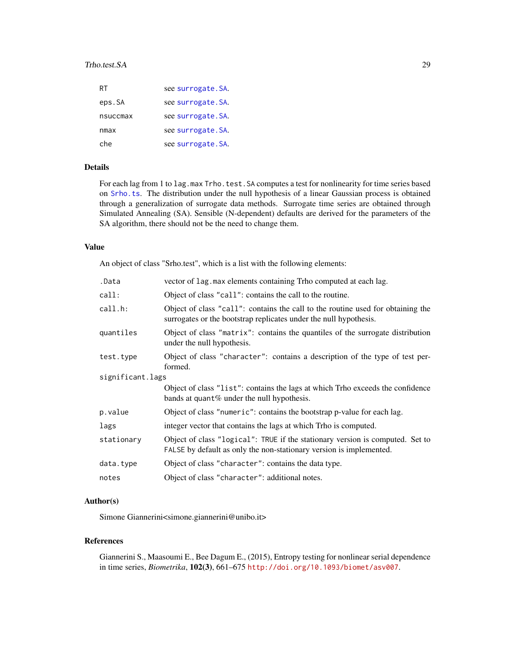#### Trho.test.SA 29

| RT       | see surrogate. SA. |
|----------|--------------------|
| eps.SA   | see surrogate. SA. |
| nsuccmax | see surrogate. SA. |
| nmax     | see surrogate. SA. |
| che      | see surrogate. SA. |

# Details

For each lag from 1 to lag.max Trho.test.SA computes a test for nonlinearity for time series based on [Srho.ts](#page-16-1). The distribution under the null hypothesis of a linear Gaussian process is obtained through a generalization of surrogate data methods. Surrogate time series are obtained through Simulated Annealing (SA). Sensible (N-dependent) defaults are derived for the parameters of the SA algorithm, there should not be the need to change them.

#### Value

An object of class "Srho.test", which is a list with the following elements:

| .Data            | vector of lag. max elements containing Trho computed at each lag.                                                                                    |
|------------------|------------------------------------------------------------------------------------------------------------------------------------------------------|
| call:            | Object of class "call": contains the call to the routine.                                                                                            |
| call.h:          | Object of class "call": contains the call to the routine used for obtaining the<br>surrogates or the bootstrap replicates under the null hypothesis. |
| quantiles        | Object of class "matrix": contains the quantiles of the surrogate distribution<br>under the null hypothesis.                                         |
| test.type        | Object of class "character": contains a description of the type of test per-<br>formed.                                                              |
| significant.lags |                                                                                                                                                      |
|                  | Object of class "list": contains the lags at which Trho exceeds the confidence<br>bands at quant% under the null hypothesis.                         |
| p.value          | Object of class "numeric": contains the bootstrap p-value for each lag.                                                                              |
| lags             | integer vector that contains the lags at which Trho is computed.                                                                                     |
| stationary       | Object of class "logical": TRUE if the stationary version is computed. Set to<br>FALSE by default as only the non-stationary version is implemented. |
| data.type        | Object of class "character": contains the data type.                                                                                                 |
| notes            | Object of class "character": additional notes.                                                                                                       |
|                  |                                                                                                                                                      |

#### Author(s)

Simone Giannerini<simone.giannerini@unibo.it>

# References

Giannerini S., Maasoumi E., Bee Dagum E., (2015), Entropy testing for nonlinear serial dependence in time series, *Biometrika*, 102(3), 661–675 <http://doi.org/10.1093/biomet/asv007>.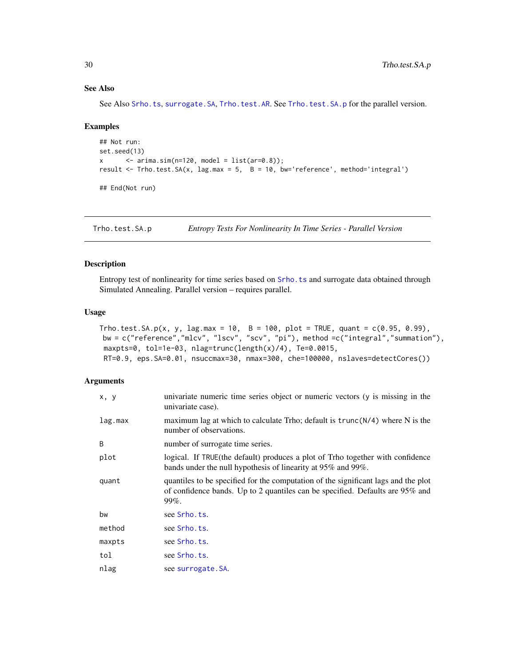# See Also

See Also [Srho.ts](#page-16-1), [surrogate.SA](#page-21-1), [Trho.test.AR](#page-23-1). See [Trho.test.SA.p](#page-29-1) for the parallel version.

#### Examples

```
## Not run:
set.seed(13)
x \le - arima.sim(n=120, model = list(ar=0.8));
result <- Trho.test.SA(x, lag.max = 5, B = 10, bw='reference', method='integral')
## End(Not run)
```
<span id="page-29-1"></span>Trho.test.SA.p *Entropy Tests For Nonlinearity In Time Series - Parallel Version*

# Description

Entropy test of nonlinearity for time series based on [Srho.ts](#page-16-1) and surrogate data obtained through Simulated Annealing. Parallel version – requires parallel.

#### Usage

```
Trho.test.SA.p(x, y, lag.max = 10, B = 100, plot = TRUE, quant = c(0.95, 0.99),
bw = c("reference","mlcv", "lscv", "scv", "pi"), method =c("integral","summation"),
maxpts=0, tol=1e-03, nlag=trunc(length(x)/4), Te=0.0015,
RT=0.9, eps.SA=0.01, nsuccmax=30, nmax=300, che=100000, nslaves=detectCores())
```
#### Arguments

| x, y    | univariate numeric time series object or numeric vectors (y is missing in the<br>univariate case).                                                                              |
|---------|---------------------------------------------------------------------------------------------------------------------------------------------------------------------------------|
| lag.max | maximum lag at which to calculate Trho; default is $trunc(N/4)$ where N is the<br>number of observations.                                                                       |
| B       | number of surrogate time series.                                                                                                                                                |
| plot    | logical. If TRUE (the default) produces a plot of Trho together with confidence<br>bands under the null hypothesis of linearity at 95% and 99%.                                 |
| quant   | quantiles to be specified for the computation of the significant lags and the plot<br>of confidence bands. Up to 2 quantiles can be specified. Defaults are 95% and<br>$99\%$ . |
| bw      | see Srho.ts.                                                                                                                                                                    |
| method  | see Srho.ts.                                                                                                                                                                    |
| maxpts  | see Srho.ts.                                                                                                                                                                    |
| tol     | see Srho.ts.                                                                                                                                                                    |
| nlag    | see surrogate. SA.                                                                                                                                                              |

<span id="page-29-0"></span>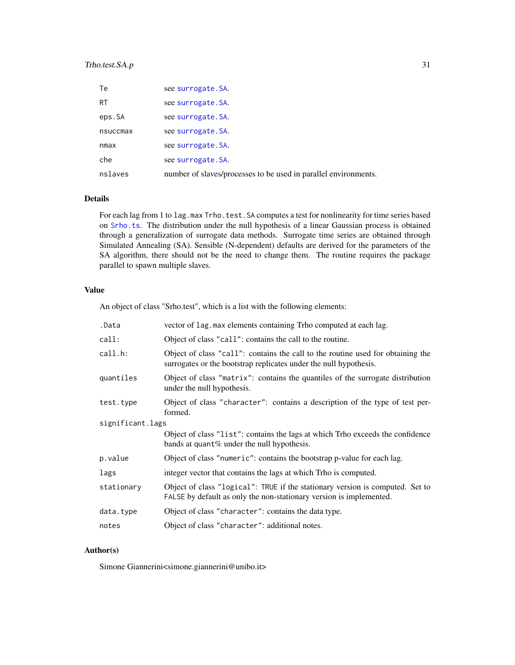# Trho.test.SA.p 31

| Te        | see surrogate. SA.                                              |
|-----------|-----------------------------------------------------------------|
| <b>RT</b> | see surrogate. SA.                                              |
| eps.SA    | see surrogate. SA.                                              |
| nsuccmax  | see surrogate. SA.                                              |
| nmax      | see surrogate. SA.                                              |
| che       | see surrogate. SA.                                              |
| nslaves   | number of slaves/processes to be used in parallel environments. |

# Details

For each lag from 1 to lag.max Trho.test.SA computes a test for nonlinearity for time series based on [Srho.ts](#page-16-1). The distribution under the null hypothesis of a linear Gaussian process is obtained through a generalization of surrogate data methods. Surrogate time series are obtained through Simulated Annealing (SA). Sensible (N-dependent) defaults are derived for the parameters of the SA algorithm, there should not be the need to change them. The routine requires the package parallel to spawn multiple slaves.

# Value

An object of class "Srho.test", which is a list with the following elements:

| .Data            | vector of lag. max elements containing Trho computed at each lag.                                                                                    |
|------------------|------------------------------------------------------------------------------------------------------------------------------------------------------|
| call:            | Object of class "call": contains the call to the routine.                                                                                            |
| call.h:          | Object of class "call": contains the call to the routine used for obtaining the<br>surrogates or the bootstrap replicates under the null hypothesis. |
| quantiles        | Object of class "matrix": contains the quantiles of the surrogate distribution<br>under the null hypothesis.                                         |
| test.type        | Object of class "character": contains a description of the type of test per-<br>formed.                                                              |
| significant.lags |                                                                                                                                                      |
|                  | Object of class "list": contains the lags at which Trho exceeds the confidence<br>bands at quant $%$ under the null hypothesis.                      |
| p.value          | Object of class "numeric": contains the bootstrap p-value for each lag.                                                                              |
| lags             | integer vector that contains the lags at which Trho is computed.                                                                                     |
| stationary       | Object of class "logical": TRUE if the stationary version is computed. Set to<br>FALSE by default as only the non-stationary version is implemented. |
| data.type        | Object of class "character": contains the data type.                                                                                                 |
| notes            | Object of class "character": additional notes.                                                                                                       |
|                  |                                                                                                                                                      |

# Author(s)

Simone Giannerini<simone.giannerini@unibo.it>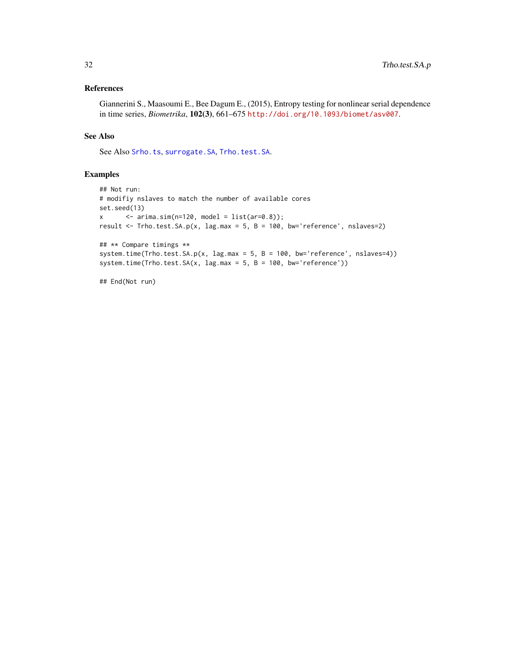# <span id="page-31-0"></span>References

Giannerini S., Maasoumi E., Bee Dagum E., (2015), Entropy testing for nonlinear serial dependence in time series, *Biometrika*, 102(3), 661–675 <http://doi.org/10.1093/biomet/asv007>.

# See Also

See Also [Srho.ts](#page-16-1), [surrogate.SA](#page-21-1), [Trho.test.SA](#page-27-1).

# Examples

```
## Not run:
# modifiy nslaves to match the number of available cores
set.seed(13)
x \le - arima.sim(n=120, model = list(ar=0.8));
result <- Trho.test.SA.p(x, lag.max = 5, B = 100, bw='reference', nslaves=2)
## ** Compare timings **
system.time(Trho.test.SA.p(x, lag.max = 5, B = 100, bw='reference', nslaves=4))
system.time(Trho.test.SA(x, lag.max = 5, B = 100, bw='reference'))
```
## End(Not run)